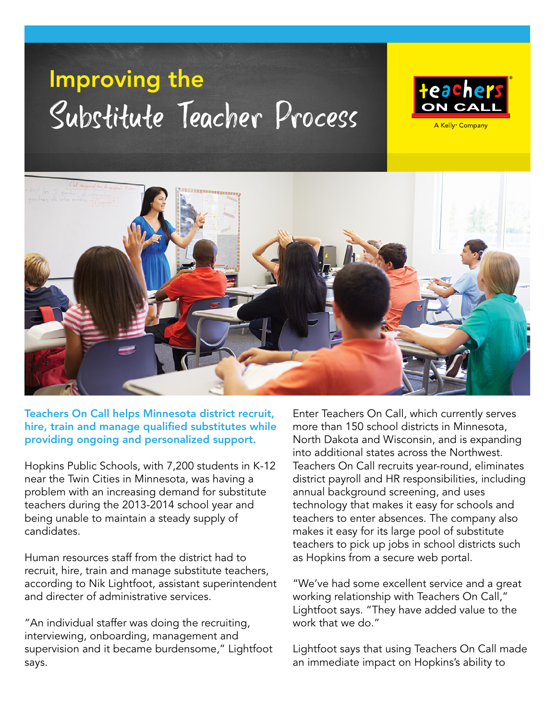## Improving the Substitute Teacher Process

= =



A Kelly<sup>®</sup> Company



Teachers On Call helps Minnesota district recruit, hire, train and manage qualified substitutes while providing ongoing and personalized support.

Hopkins Public Schools, with 7,200 students in K-12 near the Twin Cities in Minnesota, was having a problem with an increasing demand for substitute teachers during the 2013-2014 school year and being unable to maintain a steady supply of candidates.

Human resources staff from the district had to recruit, hire, train and manage substitute teachers, according to Nik Lightfoot, assistant superintendent and directer of administrative services.

"An individual staffer was doing the recruiting, interviewing, onboarding, management and supervision and it became burdensome," Lightfoot says.

Enter Teachers On Call, which currently serves more than 150 school districts in Minnesota, North Dakota and Wisconsin, and is expanding into additional states across the Northwest. Teachers On Call recruits year-round, eliminates district payroll and HR responsibilities, including annual background screening, and uses technology that makes it easy for schools and teachers to enter absences. The company also makes it easy for its large pool of substitute teachers to pick up jobs in school districts such as Hopkins from a secure web portal.

"We've had some excellent service and a great working relationship with Teachers On Call," Lightfoot says. "They have added value to the work that we do."

Lightfoot says that using Teachers On Call made an immediate impact on Hopkins's ability to